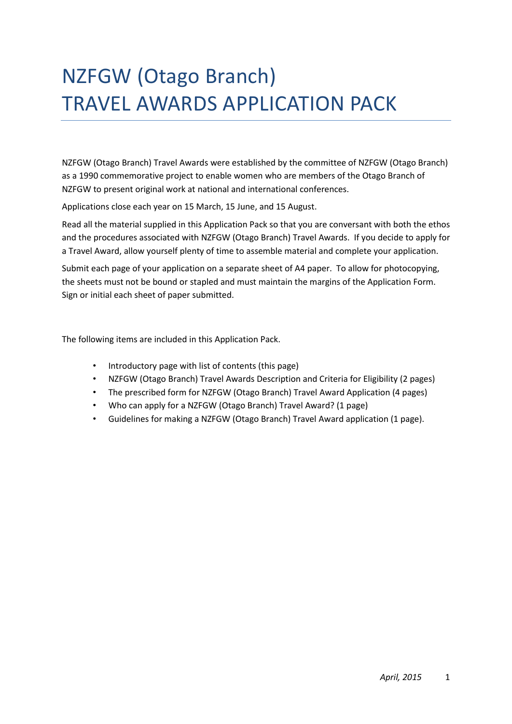# NZFGW (Otago Branch) TRAVEL AWARDS APPLICATION PACK

NZFGW (Otago Branch) Travel Awards were established by the committee of NZFGW (Otago Branch) as a 1990 commemorative project to enable women who are members of the Otago Branch of NZFGW to present original work at national and international conferences.

Applications close each year on 15 March, 15 June, and 15 August.

Read all the material supplied in this Application Pack so that you are conversant with both the ethos and the procedures associated with NZFGW (Otago Branch) Travel Awards. If you decide to apply for a Travel Award, allow yourself plenty of time to assemble material and complete your application.

Submit each page of your application on a separate sheet of A4 paper. To allow for photocopying, the sheets must not be bound or stapled and must maintain the margins of the Application Form. Sign or initial each sheet of paper submitted.

The following items are included in this Application Pack.

- Introductory page with list of contents (this page)
- NZFGW (Otago Branch) Travel Awards Description and Criteria for Eligibility (2 pages)
- The prescribed form for NZFGW (Otago Branch) Travel Award Application (4 pages)
- Who can apply for a NZFGW (Otago Branch) Travel Award? (1 page)
- Guidelines for making a NZFGW (Otago Branch) Travel Award application (1 page).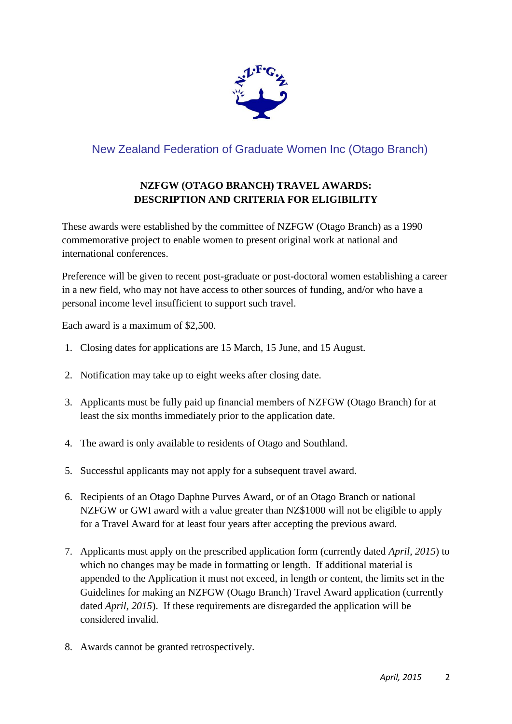

# New Zealand Federation of Graduate Women Inc (Otago Branch)

# **NZFGW (OTAGO BRANCH) TRAVEL AWARDS: DESCRIPTION AND CRITERIA FOR ELIGIBILITY**

These awards were established by the committee of NZFGW (Otago Branch) as a 1990 commemorative project to enable women to present original work at national and international conferences.

Preference will be given to recent post-graduate or post-doctoral women establishing a career in a new field, who may not have access to other sources of funding, and/or who have a personal income level insufficient to support such travel.

Each award is a maximum of \$2,500.

- 1. Closing dates for applications are 15 March, 15 June, and 15 August.
- 2. Notification may take up to eight weeks after closing date.
- 3. Applicants must be fully paid up financial members of NZFGW (Otago Branch) for at least the six months immediately prior to the application date.
- 4. The award is only available to residents of Otago and Southland.
- 5. Successful applicants may not apply for a subsequent travel award.
- 6. Recipients of an Otago Daphne Purves Award, or of an Otago Branch or national NZFGW or GWI award with a value greater than NZ\$1000 will not be eligible to apply for a Travel Award for at least four years after accepting the previous award.
- 7. Applicants must apply on the prescribed application form (currently dated *April, 2015*) to which no changes may be made in formatting or length. If additional material is appended to the Application it must not exceed, in length or content, the limits set in the Guidelines for making an NZFGW (Otago Branch) Travel Award application (currently dated *April, 2015*). If these requirements are disregarded the application will be considered invalid.
- 8. Awards cannot be granted retrospectively.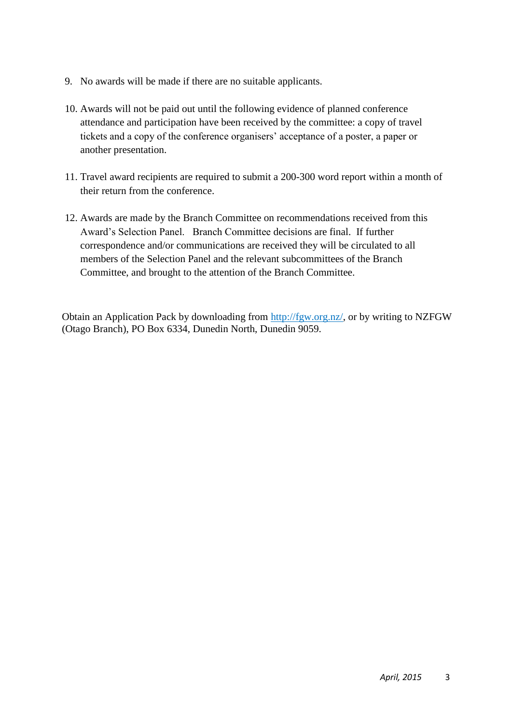- 9. No awards will be made if there are no suitable applicants.
- 10. Awards will not be paid out until the following evidence of planned conference attendance and participation have been received by the committee: a copy of travel tickets and a copy of the conference organisers' acceptance of a poster, a paper or another presentation.
- 11. Travel award recipients are required to submit a 200-300 word report within a month of their return from the conference.
- 12. Awards are made by the Branch Committee on recommendations received from this Award's Selection Panel. Branch Committee decisions are final. If further correspondence and/or communications are received they will be circulated to all members of the Selection Panel and the relevant subcommittees of the Branch Committee, and brought to the attention of the Branch Committee.

Obtain an Application Pack by downloading from [http://fgw.org.nz/,](http://fgw.org.nz/) or by writing to NZFGW (Otago Branch), PO Box 6334, Dunedin North, Dunedin 9059.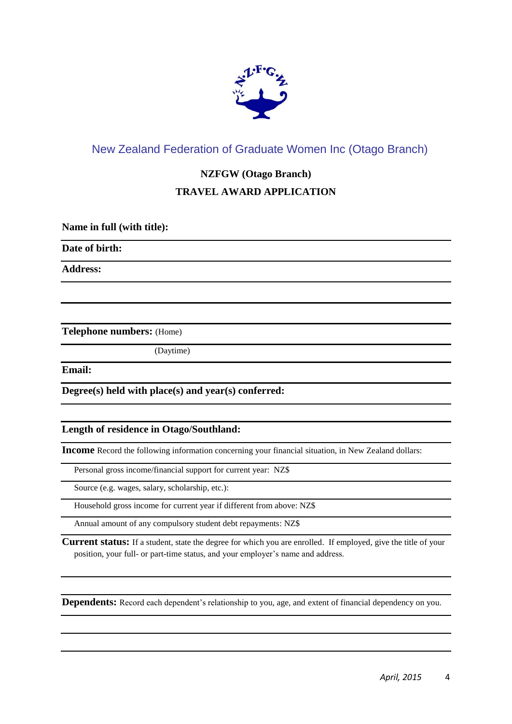

## New Zealand Federation of Graduate Women Inc (Otago Branch)

## **NZFGW (Otago Branch)**

## **TRAVEL AWARD APPLICATION**

**Name in full (with title):**

**Date of birth:** 

**Address:**

**Telephone numbers:** (Home)

(Daytime)

**Email:**

**Degree(s) held with place(s) and year(s) conferred:**

## **Length of residence in Otago/Southland:**

**Income** Record the following information concerning your financial situation, in New Zealand dollars:

Personal gross income/financial support for current year: NZ\$

Source (e.g. wages, salary, scholarship, etc.):

Household gross income for current year if different from above: NZ\$

Annual amount of any compulsory student debt repayments: NZ\$

**Current status:** If a student, state the degree for which you are enrolled. If employed, give the title of your position, your full- or part-time status, and your employer's name and address.

**Dependents:** Record each dependent's relationship to you, age, and extent of financial dependency on you.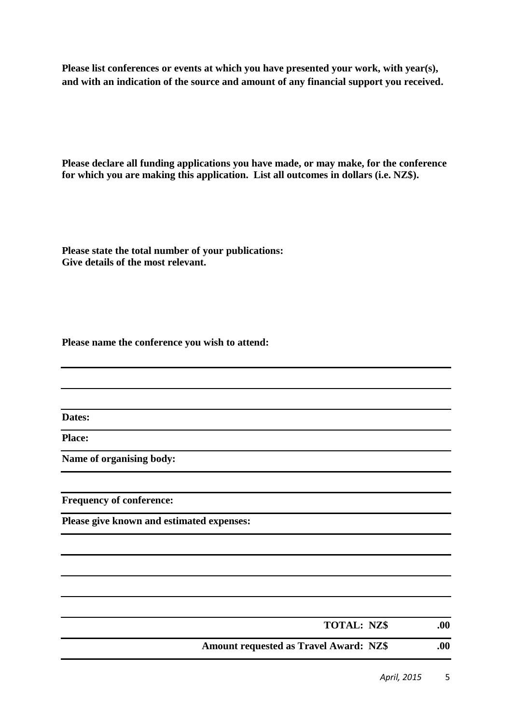**Please list conferences or events at which you have presented your work, with year(s), and with an indication of the source and amount of any financial support you received.**

**Please declare all funding applications you have made, or may make, for the conference for which you are making this application. List all outcomes in dollars (i.e. NZ\$).**

**Please state the total number of your publications: Give details of the most relevant.**

**Please name the conference you wish to attend:**

**Dates:**

**Place:**

**Name of organising body:**

**Frequency of conference:**

**Please give known and estimated expenses:**

| <b>TOTAL: NZ\$</b>                            | .00 |
|-----------------------------------------------|-----|
| <b>Amount requested as Travel Award: NZ\$</b> | .00 |

*April, 2015* 5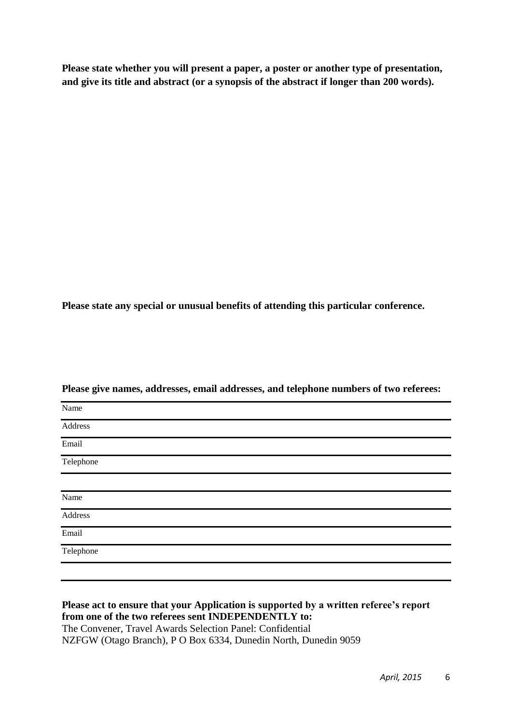**Please state whether you will present a paper, a poster or another type of presentation, and give its title and abstract (or a synopsis of the abstract if longer than 200 words).** 

**Please state any special or unusual benefits of attending this particular conference.**

| Name                       |  |
|----------------------------|--|
| Address                    |  |
| Email                      |  |
| <b>Telephone</b>           |  |
|                            |  |
| Name                       |  |
| Address<br>$\qquad \qquad$ |  |
| Email                      |  |
| <b>Telephone</b>           |  |
|                            |  |

**Please give names, addresses, email addresses, and telephone numbers of two referees:**

**Please act to ensure that your Application is supported by a written referee's report from one of the two referees sent INDEPENDENTLY to:** The Convener, Travel Awards Selection Panel: Confidential NZFGW (Otago Branch), P O Box 6334, Dunedin North, Dunedin 9059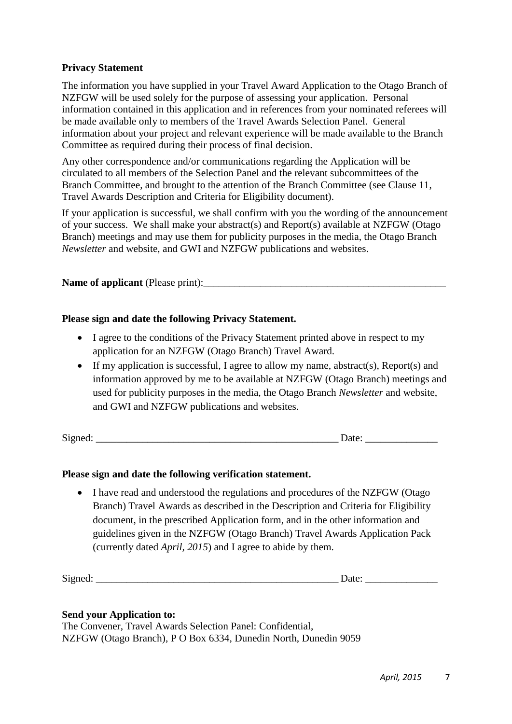### **Privacy Statement**

The information you have supplied in your Travel Award Application to the Otago Branch of NZFGW will be used solely for the purpose of assessing your application. Personal information contained in this application and in references from your nominated referees will be made available only to members of the Travel Awards Selection Panel. General information about your project and relevant experience will be made available to the Branch Committee as required during their process of final decision.

Any other correspondence and/or communications regarding the Application will be circulated to all members of the Selection Panel and the relevant subcommittees of the Branch Committee, and brought to the attention of the Branch Committee (see Clause 11, Travel Awards Description and Criteria for Eligibility document).

If your application is successful, we shall confirm with you the wording of the announcement of your success. We shall make your abstract(s) and Report(s) available at NZFGW (Otago Branch) meetings and may use them for publicity purposes in the media, the Otago Branch *Newsletter* and website, and GWI and NZFGW publications and websites.

### **Name of applicant** (Please print):

### **Please sign and date the following Privacy Statement.**

- I agree to the conditions of the Privacy Statement printed above in respect to my application for an NZFGW (Otago Branch) Travel Award.
- If my application is successful, I agree to allow my name, abstract(s), Report(s) and information approved by me to be available at NZFGW (Otago Branch) meetings and used for publicity purposes in the media, the Otago Branch *Newsletter* and website, and GWI and NZFGW publications and websites.

Signed:  $\Box$ 

## **Please sign and date the following verification statement.**

• I have read and understood the regulations and procedures of the NZFGW (Otago Branch) Travel Awards as described in the Description and Criteria for Eligibility document, in the prescribed Application form, and in the other information and guidelines given in the NZFGW (Otago Branch) Travel Awards Application Pack (currently dated *April, 2015*) and I agree to abide by them.

 $Signed:$   $Date:$ 

#### **Send your Application to:**

The Convener, Travel Awards Selection Panel: Confidential, NZFGW (Otago Branch), P O Box 6334, Dunedin North, Dunedin 9059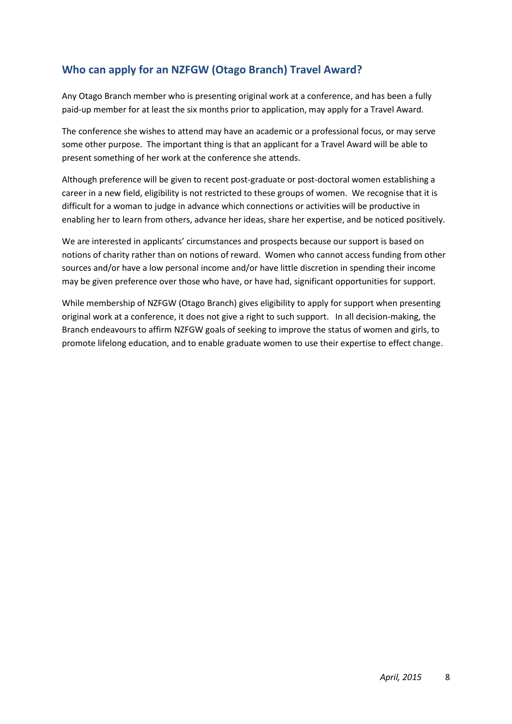# **Who can apply for an NZFGW (Otago Branch) Travel Award?**

Any Otago Branch member who is presenting original work at a conference, and has been a fully paid-up member for at least the six months prior to application, may apply for a Travel Award.

The conference she wishes to attend may have an academic or a professional focus, or may serve some other purpose. The important thing is that an applicant for a Travel Award will be able to present something of her work at the conference she attends.

Although preference will be given to recent post-graduate or post-doctoral women establishing a career in a new field, eligibility is not restricted to these groups of women. We recognise that it is difficult for a woman to judge in advance which connections or activities will be productive in enabling her to learn from others, advance her ideas, share her expertise, and be noticed positively.

We are interested in applicants' circumstances and prospects because our support is based on notions of charity rather than on notions of reward. Women who cannot access funding from other sources and/or have a low personal income and/or have little discretion in spending their income may be given preference over those who have, or have had, significant opportunities for support.

While membership of NZFGW (Otago Branch) gives eligibility to apply for support when presenting original work at a conference, it does not give a right to such support. In all decision-making, the Branch endeavours to affirm NZFGW goals of seeking to improve the status of women and girls, to promote lifelong education, and to enable graduate women to use their expertise to effect change.